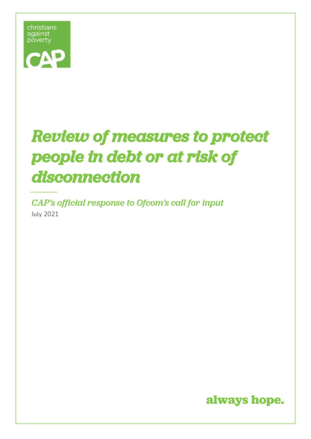

# **Review of measures to protect** people in debt or at risk of disconnection

CAP's official response to Ofcom's call for input July 2021

 $\sim$  1007217 (capuk.org Registered Charity No. 1097217 (England and Wales), SC238776 (Scotland), SC038776 (Scotland)

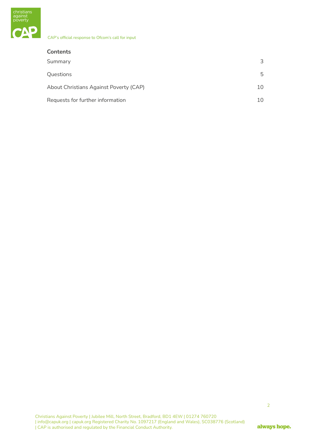

| <b>Contents</b>                        |     |
|----------------------------------------|-----|
| Summary                                | 3   |
| Questions                              | 5   |
| About Christians Against Poverty (CAP) | 10  |
| Requests for further information       | 10. |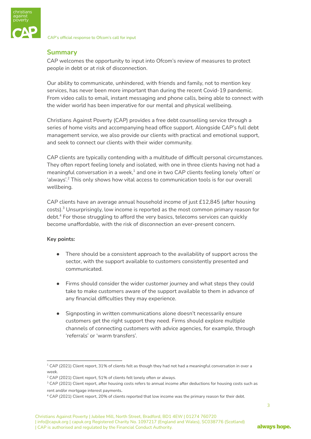

# <span id="page-2-0"></span>**Summary**

CAP welcomes the opportunity to input into Ofcom's review of measures to protect people in debt or at risk of disconnection.

Our ability to communicate, unhindered, with friends and family, not to mention key services, has never been more important than during the recent Covid-19 pandemic. From video calls to email, instant messaging and phone calls, being able to connect with the wider world has been imperative for our mental and physical wellbeing.

Christians Against Poverty (CAP) provides a free debt counselling service through a series of home visits and accompanying head office support. Alongside CAP's full debt management service, we also provide our clients with practical and emotional support, and seek to connect our clients with their wider community.

CAP clients are typically contending with a multitude of difficult personal circumstances. They often report feeling lonely and isolated, with one in three clients having not had a meaningful conversation in a week, $^{\rm 1}$  and one in two CAP clients feeling lonely 'often' or 'always'. $2$  This only shows how vital access to communication tools is for our overall wellbeing.

CAP clients have an average annual household income of just £12,845 (after housing costs). $^3$  Unsurprisingly, low income is reported as the most common primary reason for debt.<sup>4</sup> For those struggling to afford the very basics, telecoms services can quickly become unaffordable, with the risk of disconnection an ever-present concern.

# **Key points:**

- There should be a consistent approach to the availability of support across the sector, with the support available to customers consistently presented and communicated.
- Firms should consider the wider customer journey and what steps they could take to make customers aware of the support available to them in advance of any financial difficulties they may experience.
- Signposting in written communications alone doesn't necessarily ensure customers get the right support they need. Firms should explore multiple channels of connecting customers with advice agencies, for example, through 'referrals' or 'warm transfers'.

3

 $1$  CAP (2021) Client report, 31% of clients felt as though they had not had a meaningful conversation in over a week.

<sup>&</sup>lt;sup>2</sup> CAP (2021) Client report, 51% of clients felt lonely often or always.

<sup>&</sup>lt;sup>3</sup> CAP (2021) Client report, after housing costs refers to annual income after deductions for housing costs such as rent and/or mortgage interest payments.

<sup>4</sup> CAP (2021) Client report, 20% of clients reported that low income was the primary reason for their debt.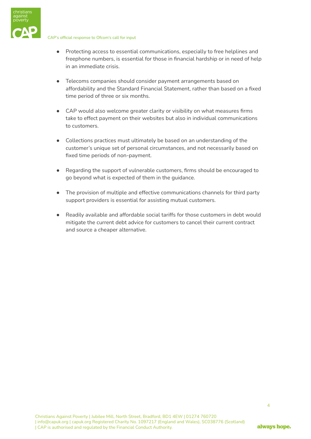



- Protecting access to essential communications, especially to free helplines and freephone numbers, is essential for those in financial hardship or in need of help in an immediate crisis.
- Telecoms companies should consider payment arrangements based on affordability and the Standard Financial Statement, rather than based on a fixed time period of three or six months.
- CAP would also welcome greater clarity or visibility on what measures firms take to effect payment on their websites but also in individual communications to customers.
- Collections practices must ultimately be based on an understanding of the customer's unique set of personal circumstances, and not necessarily based on fixed time periods of non-payment.
- Regarding the support of vulnerable customers, firms should be encouraged to go beyond what is expected of them in the guidance.
- The provision of multiple and effective communications channels for third party support providers is essential for assisting mutual customers.
- Readily available and affordable social tariffs for those customers in debt would mitigate the current debt advice for customers to cancel their current contract and source a cheaper alternative.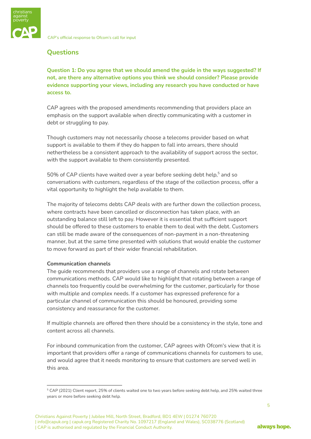

# <span id="page-4-0"></span>**Questions**

**Question 1: Do you agree that we should amend the guide in the ways suggested? If not, are there any alternative options you think we should consider? Please provide evidence supporting your views, including any research you have conducted or have access to.**

CAP agrees with the proposed amendments recommending that providers place an emphasis on the support available when directly communicating with a customer in debt or struggling to pay.

Though customers may not necessarily choose a telecoms provider based on what support is available to them if they do happen to fall into arrears, there should nethertheless be a consistent approach to the availability of support across the sector, with the support available to them consistently presented.

 $50\%$  of CAP clients have waited over a year before seeking debt help, $^5$  and so conversations with customers, regardless of the stage of the collection process, offer a vital opportunity to highlight the help available to them.

The majority of telecoms debts CAP deals with are further down the collection process, where contracts have been cancelled or disconnection has taken place, with an outstanding balance still left to pay. However it is essential that sufficient support should be offered to these customers to enable them to deal with the debt. Customers can still be made aware of the consequences of non-payment in a non-threatening manner, but at the same time presented with solutions that would enable the customer to move forward as part of their wider financial rehabilitation.

# **Communication channels**

The guide recommends that providers use a range of channels and rotate between communications methods. CAP would like to highlight that rotating between a range of channels too frequently could be overwhelming for the customer, particularly for those with multiple and complex needs. If a customer has expressed preference for a particular channel of communication this should be honoured, providing some consistency and reassurance for the customer.

If multiple channels are offered then there should be a consistency in the style, tone and content across all channels.

For inbound communication from the customer, CAP agrees with Ofcom's view that it is important that providers offer a range of communications channels for customers to use, and would agree that it needs monitoring to ensure that customers are served well in this area.

<sup>5</sup> CAP (2021) Client report, 25% of clients waited one to two years before seeking debt help, and 25% waited three years or more before seeking debt help.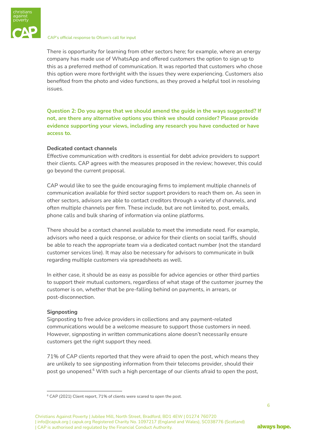

There is opportunity for learning from other sectors here; for example, where an energy company has made use of WhatsApp and offered customers the option to sign up to this as a preferred method of communication. It was reported that customers who chose this option were more forthright with the issues they were experiencing. Customers also benefited from the photo and video functions, as they proved a helpful tool in resolving issues.

**Question 2: Do you agree that we should amend the guide in the ways suggested? If not, are there any alternative options you think we should consider? Please provide evidence supporting your views, including any research you have conducted or have access to.**

# **Dedicated contact channels**

Effective communication with creditors is essential for debt advice providers to support their clients. CAP agrees with the measures proposed in the review; however, this could go beyond the current proposal.

CAP would like to see the guide encouraging firms to implement multiple channels of communication available for third sector support providers to reach them on. As seen in other sectors, advisors are able to contact creditors through a variety of channels, and often multiple channels per firm. These include, but are not limited to, post, emails, phone calls and bulk sharing of information via online platforms.

There should be a contact channel available to meet the immediate need. For example, advisors who need a quick response, or advice for their clients on social tariffs, should be able to reach the appropriate team via a dedicated contact number (not the standard customer services line). It may also be necessary for advisors to communicate in bulk regarding multiple customers via spreadsheets as well.

In either case, it should be as easy as possible for advice agencies or other third parties to support their mutual customers, regardless of what stage of the customer journey the customer is on, whether that be pre-falling behind on payments, in arrears, or post-disconnection.

#### **Signposting**

Signposting to free advice providers in collections and any payment-related communications would be a welcome measure to support those customers in need. However, signposting in written communications alone doesn't necessarily ensure customers get the right support they need.

71% of CAP clients reported that they were afraid to open the post, which means they are unlikely to see signposting information from their telecoms provider, should their post go unopened. $^{\rm 6}$  With such a high percentage of our clients afraid to open the post,

Christians Against Poverty | Jubilee Mill, North Street, Bradford, BD1 4EW | 01274 760720 | info@capuk.org | capuk.org Registered Charity No. 1097217 (England and Wales), SC038776 (Scotland) | CAP is authorised and regulated by the Financial Conduct Authority.

<sup>&</sup>lt;sup>6</sup> CAP (2021) Client report, 71% of clients were scared to open the post.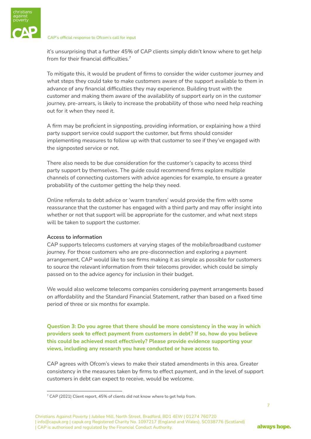

it's unsurprising that a further 45% of CAP clients simply didn't know where to get help from for their financial difficulties.<sup>7</sup>

To mitigate this, it would be prudent of firms to consider the wider customer journey and what steps they could take to make customers aware of the support available to them in advance of any financial difficulties they may experience. Building trust with the customer and making them aware of the availability of support early on in the customer journey, pre-arrears, is likely to increase the probability of those who need help reaching out for it when they need it.

A firm may be proficient in signposting, providing information, or explaining how a third party support service could support the customer, but firms should consider implementing measures to follow up with that customer to see if they've engaged with the signposted service or not.

There also needs to be due consideration for the customer's capacity to access third party support by themselves. The guide could recommend firms explore multiple channels of connecting customers with advice agencies for example, to ensure a greater probability of the customer getting the help they need.

Online referrals to debt advice or 'warm transfers' would provide the firm with some reassurance that the customer has engaged with a third party and may offer insight into whether or not that support will be appropriate for the customer, and what next steps will be taken to support the customer.

# **Access to information**

CAP supports telecoms customers at varying stages of the mobile/broadband customer journey. For those customers who are pre-disconnection and exploring a payment arrangement, CAP would like to see firms making it as simple as possible for customers to source the relevant information from their telecoms provider, which could be simply passed on to the advice agency for inclusion in their budget.

We would also welcome telecoms companies considering payment arrangements based on affordability and the Standard Financial Statement, rather than based on a fixed time period of three or six months for example.

**Question 3: Do you agree that there should be more consistency in the way in which providers seek to effect payment from customers in debt? If so, how do you believe this could be achieved most effectively? Please provide evidence supporting your views, including any research you have conducted or have access to.**

CAP agrees with Ofcom's views to make their stated amendments in this area. Greater consistency in the measures taken by firms to effect payment, and in the level of support customers in debt can expect to receive, would be welcome.

7

<sup>&</sup>lt;sup>7</sup> CAP (2021) Client report, 45% of clients did not know where to get help from.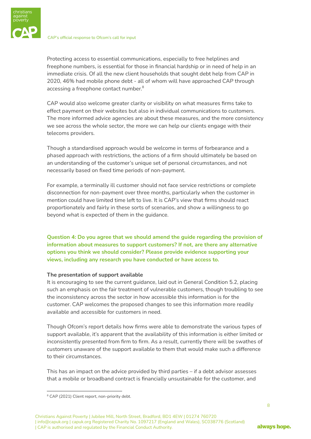

Protecting access to essential communications, especially to free helplines and freephone numbers, is essential for those in financial hardship or in need of help in an immediate crisis. Of all the new client households that sought debt help from CAP in 2020, 46% had mobile phone debt - all of whom will have approached CAP through accessing a freephone contact number. 8

CAP would also welcome greater clarity or visibility on what measures firms take to effect payment on their websites but also in individual communications to customers. The more informed advice agencies are about these measures, and the more consistency we see across the whole sector, the more we can help our clients engage with their telecoms providers.

Though a standardised approach would be welcome in terms of forbearance and a phased approach with restrictions, the actions of a firm should ultimately be based on an understanding of the customer's unique set of personal circumstances, and not necessarily based on fixed time periods of non-payment.

For example, a terminally ill customer should not face service restrictions or complete disconnection for non-payment over three months, particularly when the customer in mention could have limited time left to live. It is CAP's view that firms should react proportionately and fairly in these sorts of scenarios, and show a willingness to go beyond what is expected of them in the guidance.

**Question 4: Do you agree that we should amend the guide regarding the provision of information about measures to support customers? If not, are there any alternative options you think we should consider? Please provide evidence supporting your views, including any research you have conducted or have access to.**

#### **The presentation of support available**

It is encouraging to see the current guidance, laid out in General Condition 5.2, placing such an emphasis on the fair treatment of vulnerable customers, though troubling to see the inconsistency across the sector in how accessible this information is for the customer. CAP welcomes the proposed changes to see this information more readily available and accessible for customers in need.

Though Ofcom's report details how firms were able to demonstrate the various types of support available, it's apparent that the availability of this information is either limited or inconsistently presented from firm to firm. As a result, currently there will be swathes of customers unaware of the support available to them that would make such a difference to their circumstances.

This has an impact on the advice provided by third parties – if a debt advisor assesses that a mobile or broadband contract is financially unsustainable for the customer, and

<sup>&</sup>lt;sup>8</sup> CAP (2021) Client report, non-priority debt.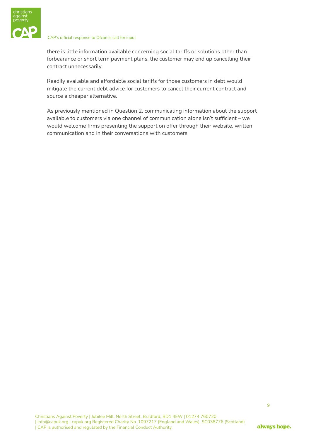

there is little information available concerning social tariffs or solutions other than forbearance or short term payment plans, the customer may end up cancelling their contract unnecessarily.

Readily available and affordable social tariffs for those customers in debt would mitigate the current debt advice for customers to cancel their current contract and source a cheaper alternative.

As previously mentioned in Question 2, communicating information about the support available to customers via one channel of communication alone isn't sufficient – we would welcome firms presenting the support on offer through their website, written communication and in their conversations with customers.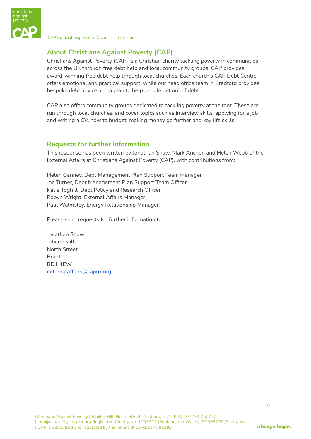

# <span id="page-9-0"></span>**About Christians Against Poverty (CAP)**

Christians Against Poverty (CAP) is a Christian charity tackling poverty in communities across the UK through free debt help and local community groups. CAP provides award-winning free debt help through local churches. Each church's CAP Debt Centre offers emotional and practical support, while our head office team in Bradford provides bespoke debt advice and a plan to help people get out of debt.

CAP also offers community groups dedicated to tackling poverty at the root. These are run through local churches, and cover topics such as interview skills, applying for a job and writing a CV, how to budget, making money go further and key life skills.

# <span id="page-9-1"></span>**Requests for further information**

This response has been written by Jonathan Shaw, Mark Anchen and Helen Webb of the External Affairs at Christians Against Poverty (CAP), with contributions from:

Helen Ganney, Debt Management Plan Support Team Manager Joe Turner, Debt Management Plan Support Team Officer Katie Toghill, Debt Policy and Research Officer Robyn Wright, External Affairs Manager Paul Walmsley, Energy Relationship Manager

Please send requests for further information to:

Jonathan Shaw Jubilee Mill North Street Bradford BD1 4EW [externalaffairs@capuk.org](mailto:externalaffairs@capuk.org)